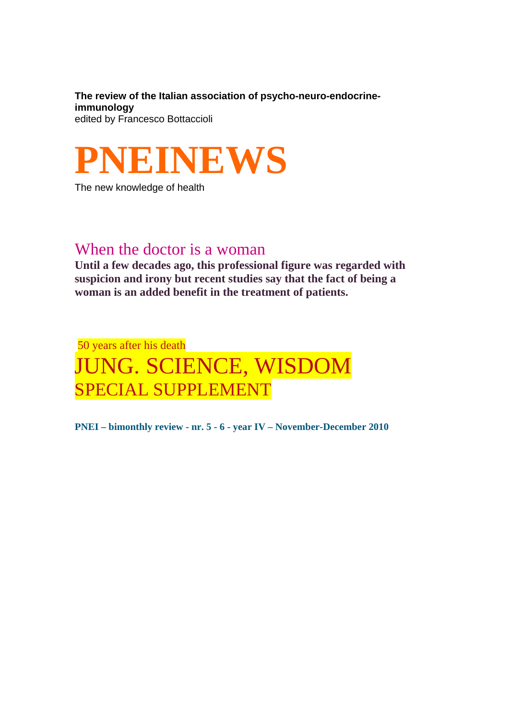**The review of the Italian association of psycho-neuro-endocrineimmunology**  edited by Francesco Bottaccioli



The new knowledge of health

# When the doctor is a woman

**Until a few decades ago, this professional figure was regarded with suspicion and irony but recent studies say that the fact of being a woman is an added benefit in the treatment of patients.** 

# 50 years after his death JUNG. SCIENCE, WISDOM SPECIAL SUPPLEMENT

**PNEI – bimonthly review - nr. 5 - 6 - year IV – November-December 2010**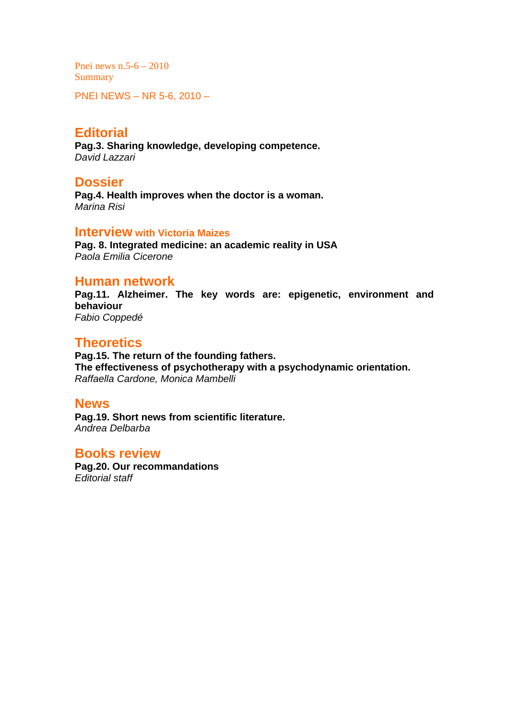Pnei news n.5-6 – 2010 **Summary** 

PNEI NEWS – NR 5-6, 2010 –

## **Editorial**

**Pag.3. Sharing knowledge, developing competence.**  *David Lazzari* 

#### **Dossier**

**Pag.4. Health improves when the doctor is a woman.**  *Marina Risi* 

#### **Interview with Victoria Maizes**

**Pag. 8. Integrated medicine: an academic reality in USA**  *Paola Emilia Cicerone* 

#### **Human network**

**Pag.11. Alzheimer. The key words are: epigenetic, environment and behaviour**  *Fabio Coppedé* 

### **Theoretics**

**Pag.15. The return of the founding fathers. The effectiveness of psychotherapy with a psychodynamic orientation.**  *Raffaella Cardone, Monica Mambelli* 

#### **News**

**Pag.19. Short news from scientific literature.**  *Andrea Delbarba* 

#### **Books review**

**Pag.20. Our recommandations**  *Editorial staff*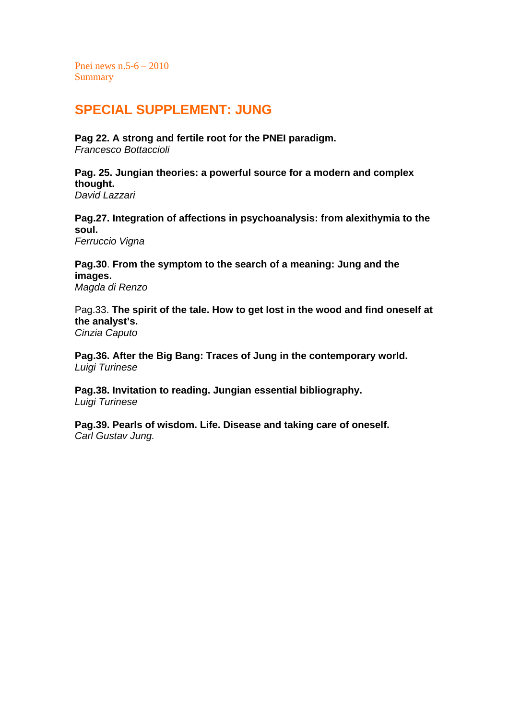Pnei news n.5-6 – 2010 **Summary** 

# **SPECIAL SUPPLEMENT: JUNG**

**Pag 22. A strong and fertile root for the PNEI paradigm.**  *Francesco Bottaccioli* 

**Pag. 25. Jungian theories: a powerful source for a modern and complex thought.**  *David Lazzari* 

**Pag.27. Integration of affections in psychoanalysis: from alexithymia to the soul.** 

*Ferruccio Vigna* 

**Pag.30**. **From the symptom to the search of a meaning: Jung and the images.**  *Magda di Renzo* 

Pag.33. **The spirit of the tale. How to get lost in the wood and find oneself at the analyst's.**  *Cinzia Caputo* 

**Pag.36. After the Big Bang: Traces of Jung in the contemporary world.**  *Luigi Turinese* 

**Pag.38. Invitation to reading. Jungian essential bibliography.**  *Luigi Turinese* 

**Pag.39. Pearls of wisdom. Life. Disease and taking care of oneself.**  *Carl Gustav Jung.*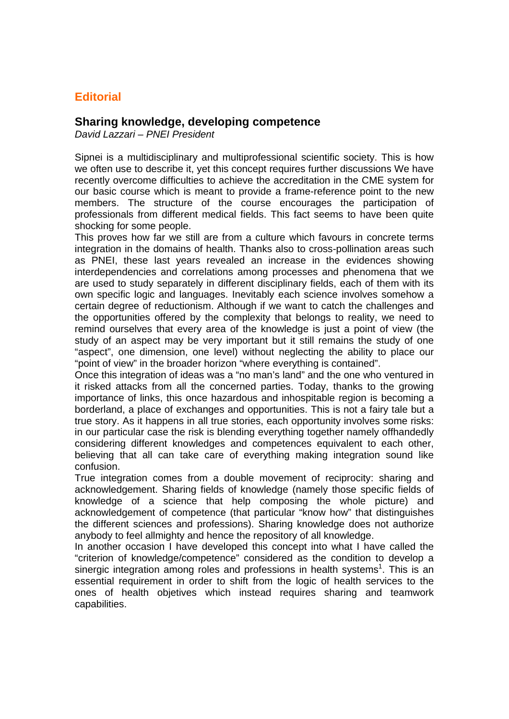## **Editorial**

#### **Sharing knowledge, developing competence**

*David Lazzari – PNEI President* 

Sipnei is a multidisciplinary and multiprofessional scientific society. This is how we often use to describe it, yet this concept requires further discussions We have recently overcome difficulties to achieve the accreditation in the CME system for our basic course which is meant to provide a frame-reference point to the new members. The structure of the course encourages the participation of professionals from different medical fields. This fact seems to have been quite shocking for some people.

This proves how far we still are from a culture which favours in concrete terms integration in the domains of health. Thanks also to cross-pollination areas such as PNEI, these last years revealed an increase in the evidences showing interdependencies and correlations among processes and phenomena that we are used to study separately in different disciplinary fields, each of them with its own specific logic and languages. Inevitably each science involves somehow a certain degree of reductionism. Although if we want to catch the challenges and the opportunities offered by the complexity that belongs to reality, we need to remind ourselves that every area of the knowledge is just a point of view (the study of an aspect may be very important but it still remains the study of one "aspect", one dimension, one level) without neglecting the ability to place our "point of view" in the broader horizon "where everything is contained".

Once this integration of ideas was a "no man's land" and the one who ventured in it risked attacks from all the concerned parties. Today, thanks to the growing importance of links, this once hazardous and inhospitable region is becoming a borderland, a place of exchanges and opportunities. This is not a fairy tale but a true story. As it happens in all true stories, each opportunity involves some risks: in our particular case the risk is blending everything together namely offhandedly considering different knowledges and competences equivalent to each other, believing that all can take care of everything making integration sound like confusion.

True integration comes from a double movement of reciprocity: sharing and acknowledgement. Sharing fields of knowledge (namely those specific fields of knowledge of a science that help composing the whole picture) and acknowledgement of competence (that particular "know how" that distinguishes the different sciences and professions). Sharing knowledge does not authorize anybody to feel allmighty and hence the repository of all knowledge.

In another occasion I have developed this concept into what I have called the "criterion of knowledge/competence" considered as the condition to develop a sinergic integration among roles and professions in health systems<sup>1</sup>. This is an essential requirement in order to shift from the logic of health services to the ones of health objetives which instead requires sharing and teamwork capabilities.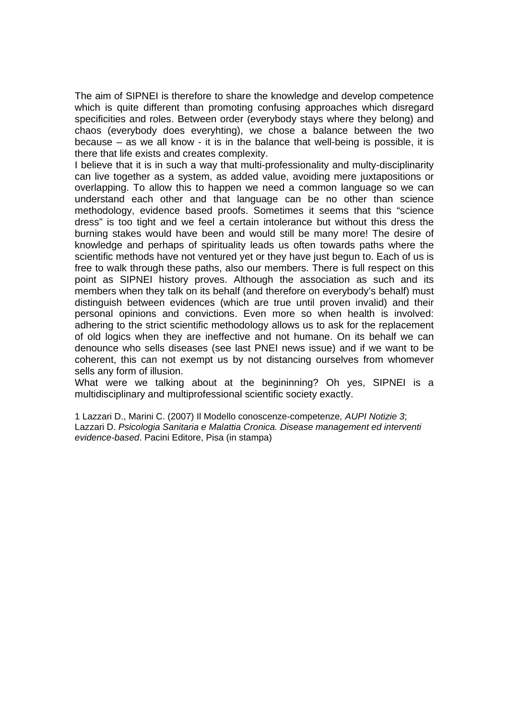The aim of SIPNEI is therefore to share the knowledge and develop competence which is quite different than promoting confusing approaches which disregard specificities and roles. Between order (everybody stays where they belong) and chaos (everybody does everyhting), we chose a balance between the two because – as we all know - it is in the balance that well-being is possible, it is there that life exists and creates complexity.

I believe that it is in such a way that multi-professionality and multy-disciplinarity can live together as a system, as added value, avoiding mere juxtapositions or overlapping. To allow this to happen we need a common language so we can understand each other and that language can be no other than science methodology, evidence based proofs. Sometimes it seems that this "science dress" is too tight and we feel a certain intolerance but without this dress the burning stakes would have been and would still be many more! The desire of knowledge and perhaps of spirituality leads us often towards paths where the scientific methods have not ventured yet or they have just begun to. Each of us is free to walk through these paths, also our members. There is full respect on this point as SIPNEI history proves. Although the association as such and its members when they talk on its behalf (and therefore on everybody's behalf) must distinguish between evidences (which are true until proven invalid) and their personal opinions and convictions. Even more so when health is involved: adhering to the strict scientific methodology allows us to ask for the replacement of old logics when they are ineffective and not humane. On its behalf we can denounce who sells diseases (see last PNEI news issue) and if we want to be coherent, this can not exempt us by not distancing ourselves from whomever sells any form of illusion.

What were we talking about at the begininning? Oh yes, SIPNEI is a multidisciplinary and multiprofessional scientific society exactly.

1 Lazzari D., Marini C. (2007) Il Modello conoscenze-competenze*, AUPI Notizie 3*; Lazzari D. *Psicologia Sanitaria e Malattia Cronica. Disease management ed interventi evidence-based*. Pacini Editore, Pisa (in stampa)